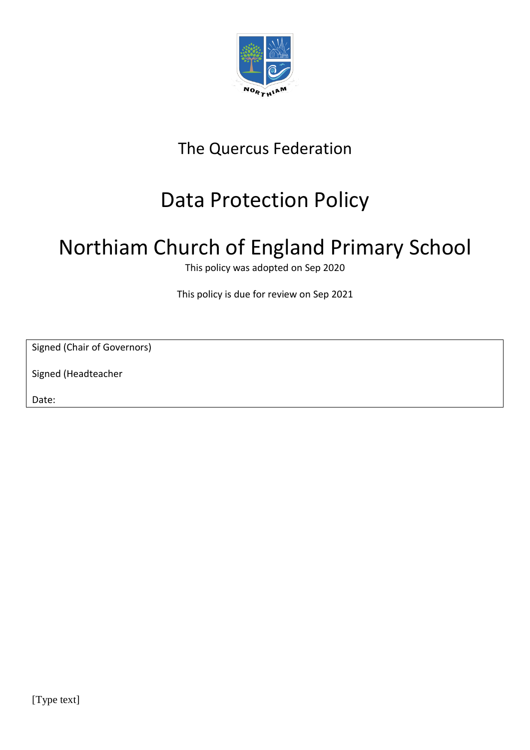

## The Quercus Federation

## Data Protection Policy

# Northiam Church of England Primary School

This policy was adopted on Sep 2020

This policy is due for review on Sep 2021

Signed (Chair of Governors)

Signed (Headteacher

Date: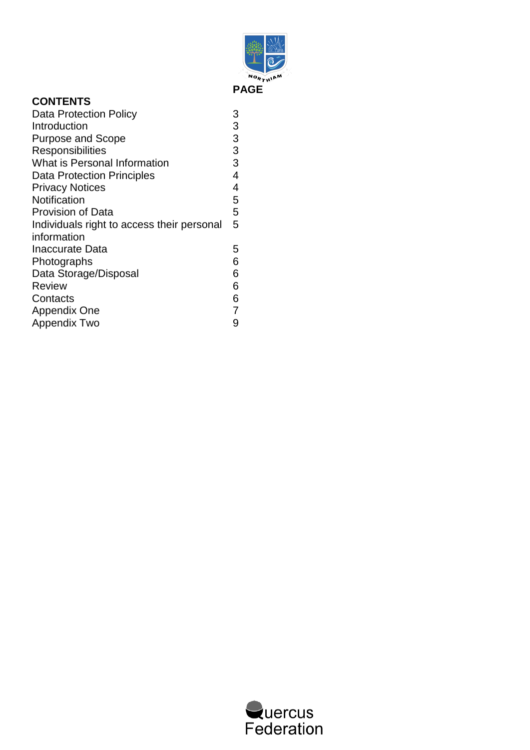

| <b>CONTENTS</b>                            |   |
|--------------------------------------------|---|
| Data Protection Policy                     | 3 |
| Introduction                               | 3 |
| <b>Purpose and Scope</b>                   | 3 |
| Responsibilities                           | 3 |
| What is Personal Information               | 3 |
| <b>Data Protection Principles</b>          | 4 |
| <b>Privacy Notices</b>                     | 4 |
| Notification                               | 5 |
| <b>Provision of Data</b>                   | 5 |
| Individuals right to access their personal | 5 |
| information                                |   |
| Inaccurate Data                            | 5 |
| Photographs                                | 6 |
| Data Storage/Disposal                      | 6 |
| <b>Review</b>                              | 6 |
| Contacts                                   | 6 |
| Appendix One                               |   |
| Appendix Two                               | 9 |

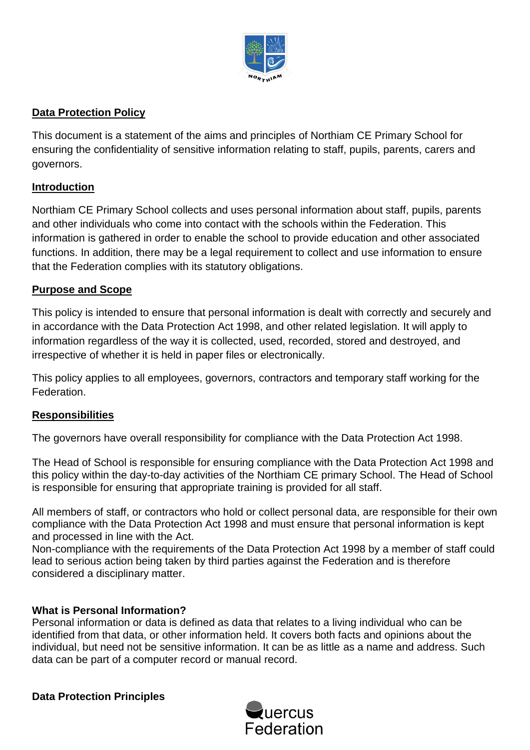

## **Data Protection Policy**

This document is a statement of the aims and principles of Northiam CE Primary School for ensuring the confidentiality of sensitive information relating to staff, pupils, parents, carers and governors.

## **Introduction**

Northiam CE Primary School collects and uses personal information about staff, pupils, parents and other individuals who come into contact with the schools within the Federation. This information is gathered in order to enable the school to provide education and other associated functions. In addition, there may be a legal requirement to collect and use information to ensure that the Federation complies with its statutory obligations.

## **Purpose and Scope**

This policy is intended to ensure that personal information is dealt with correctly and securely and in accordance with the Data Protection Act 1998, and other related legislation. It will apply to information regardless of the way it is collected, used, recorded, stored and destroyed, and irrespective of whether it is held in paper files or electronically.

This policy applies to all employees, governors, contractors and temporary staff working for the Federation.

## **Responsibilities**

The governors have overall responsibility for compliance with the Data Protection Act 1998.

The Head of School is responsible for ensuring compliance with the Data Protection Act 1998 and this policy within the day-to-day activities of the Northiam CE primary School. The Head of School is responsible for ensuring that appropriate training is provided for all staff.

All members of staff, or contractors who hold or collect personal data, are responsible for their own compliance with the Data Protection Act 1998 and must ensure that personal information is kept and processed in line with the Act.

Non-compliance with the requirements of the Data Protection Act 1998 by a member of staff could lead to serious action being taken by third parties against the Federation and is therefore considered a disciplinary matter.

## **What is Personal Information?**

Personal information or data is defined as data that relates to a living individual who can be identified from that data, or other information held. It covers both facts and opinions about the individual, but need not be sensitive information. It can be as little as a name and address. Such data can be part of a computer record or manual record.

**Data Protection Principles** 

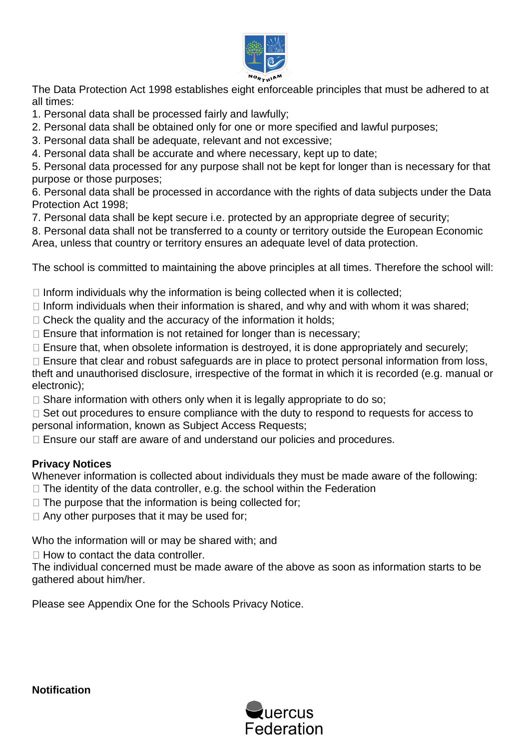

The Data Protection Act 1998 establishes eight enforceable principles that must be adhered to at all times:

1. Personal data shall be processed fairly and lawfully;

2. Personal data shall be obtained only for one or more specified and lawful purposes;

3. Personal data shall be adequate, relevant and not excessive;

4. Personal data shall be accurate and where necessary, kept up to date;

5. Personal data processed for any purpose shall not be kept for longer than is necessary for that purpose or those purposes;

6. Personal data shall be processed in accordance with the rights of data subjects under the Data Protection Act 1998;

7. Personal data shall be kept secure i.e. protected by an appropriate degree of security;

8. Personal data shall not be transferred to a county or territory outside the European Economic Area, unless that country or territory ensures an adequate level of data protection.

The school is committed to maintaining the above principles at all times. Therefore the school will:

 $\Box$  Inform individuals why the information is being collected when it is collected;

- $\Box$  Inform individuals when their information is shared, and why and with whom it was shared;
- $\Box$  Check the quality and the accuracy of the information it holds:
- $\Box$  Ensure that information is not retained for longer than is necessary;
- $\Box$  Ensure that, when obsolete information is destroyed, it is done appropriately and securely;

 $\Box$  Ensure that clear and robust safeguards are in place to protect personal information from loss, theft and unauthorised disclosure, irrespective of the format in which it is recorded (e.g. manual or electronic);

 $\Box$  Share information with others only when it is legally appropriate to do so;

 $\Box$  Set out procedures to ensure compliance with the duty to respond to requests for access to personal information, known as Subject Access Requests;

□ Ensure our staff are aware of and understand our policies and procedures.

## **Privacy Notices**

Whenever information is collected about individuals they must be made aware of the following:

- $\Box$  The identity of the data controller, e.g. the school within the Federation
- $\Box$  The purpose that the information is being collected for;

 $\Box$  Any other purposes that it may be used for;

Who the information will or may be shared with; and

 $\Box$  How to contact the data controller.

The individual concerned must be made aware of the above as soon as information starts to be gathered about him/her.

Please see Appendix One for the Schools Privacy Notice.



**Notification**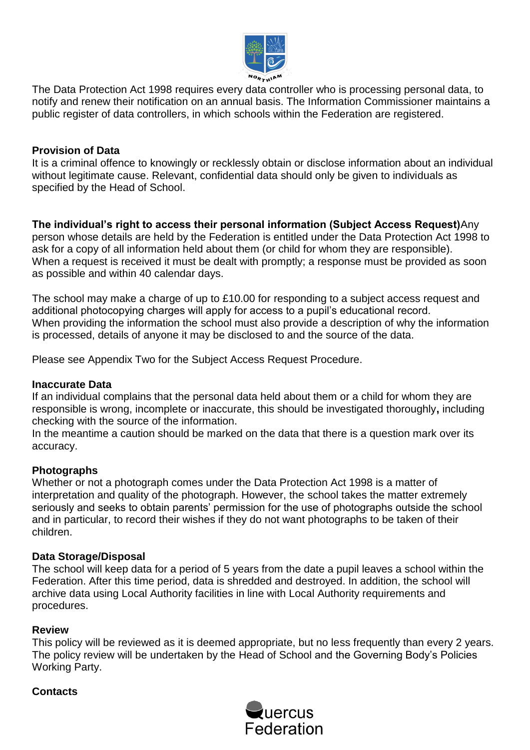

The Data Protection Act 1998 requires every data controller who is processing personal data, to notify and renew their notification on an annual basis. The Information Commissioner maintains a public register of data controllers, in which schools within the Federation are registered.

## **Provision of Data**

It is a criminal offence to knowingly or recklessly obtain or disclose information about an individual without legitimate cause. Relevant, confidential data should only be given to individuals as specified by the Head of School.

**The individual's right to access their personal information (Subject Access Request)**Any person whose details are held by the Federation is entitled under the Data Protection Act 1998 to ask for a copy of all information held about them (or child for whom they are responsible). When a request is received it must be dealt with promptly; a response must be provided as soon as possible and within 40 calendar days.

The school may make a charge of up to £10.00 for responding to a subject access request and additional photocopying charges will apply for access to a pupil's educational record. When providing the information the school must also provide a description of why the information is processed, details of anyone it may be disclosed to and the source of the data.

Please see Appendix Two for the Subject Access Request Procedure.

#### **Inaccurate Data**

If an individual complains that the personal data held about them or a child for whom they are responsible is wrong, incomplete or inaccurate, this should be investigated thoroughly**,** including checking with the source of the information.

In the meantime a caution should be marked on the data that there is a question mark over its accuracy.

#### **Photographs**

Whether or not a photograph comes under the Data Protection Act 1998 is a matter of interpretation and quality of the photograph. However, the school takes the matter extremely seriously and seeks to obtain parents' permission for the use of photographs outside the school and in particular, to record their wishes if they do not want photographs to be taken of their children.

#### **Data Storage/Disposal**

The school will keep data for a period of 5 years from the date a pupil leaves a school within the Federation. After this time period, data is shredded and destroyed. In addition, the school will archive data using Local Authority facilities in line with Local Authority requirements and procedures.

#### **Review**

This policy will be reviewed as it is deemed appropriate, but no less frequently than every 2 years. The policy review will be undertaken by the Head of School and the Governing Body's Policies Working Party.

#### **Contacts**

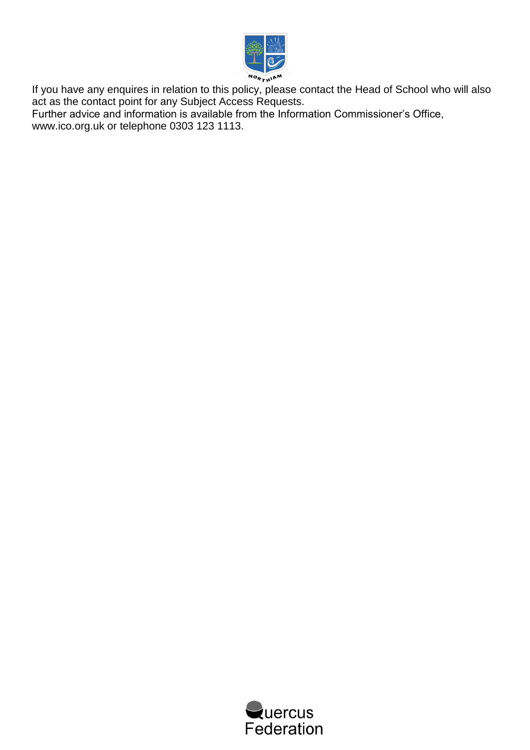

If you have any enquires in relation to this policy, please contact the Head of School who will also act as the contact point for any Subject Access Requests.

Further advice and information is available from the Information Commissioner's Office, www.ico.org.uk or telephone 0303 123 1113.

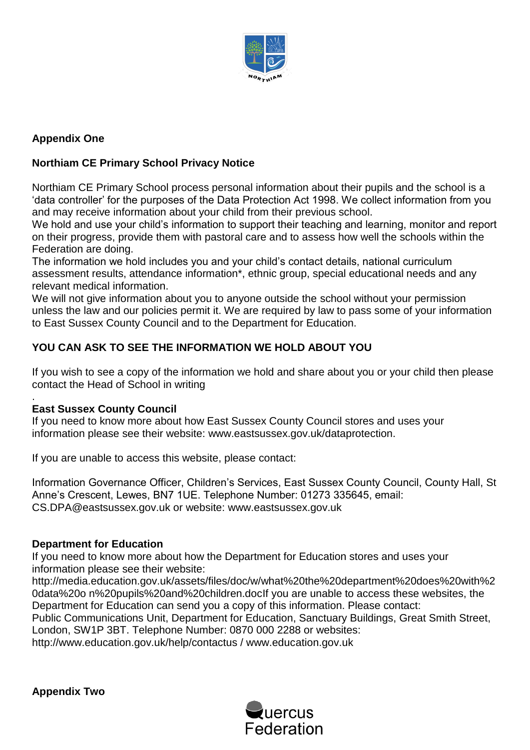

## **Appendix One**

## **Northiam CE Primary School Privacy Notice**

Northiam CE Primary School process personal information about their pupils and the school is a 'data controller' for the purposes of the Data Protection Act 1998. We collect information from you and may receive information about your child from their previous school.

We hold and use your child's information to support their teaching and learning, monitor and report on their progress, provide them with pastoral care and to assess how well the schools within the Federation are doing.

The information we hold includes you and your child's contact details, national curriculum assessment results, attendance information\*, ethnic group, special educational needs and any relevant medical information.

We will not give information about you to anyone outside the school without your permission unless the law and our policies permit it. We are required by law to pass some of your information to East Sussex County Council and to the Department for Education.

## **YOU CAN ASK TO SEE THE INFORMATION WE HOLD ABOUT YOU**

If you wish to see a copy of the information we hold and share about you or your child then please contact the Head of School in writing

#### . **East Sussex County Council**

If you need to know more about how East Sussex County Council stores and uses your information please see their website: www.eastsussex.gov.uk/dataprotection.

If you are unable to access this website, please contact:

Information Governance Officer, Children's Services, East Sussex County Council, County Hall, St Anne's Crescent, Lewes, BN7 1UE. Telephone Number: 01273 335645, email: CS.DPA@eastsussex.gov.uk or website: www.eastsussex.gov.uk

#### **Department for Education**

If you need to know more about how the Department for Education stores and uses your information please see their website:

http://media.education.gov.uk/assets/files/doc/w/what%20the%20department%20does%20with%2 0data%20o n%20pupils%20and%20children.docIf you are unable to access these websites, the Department for Education can send you a copy of this information. Please contact:

Public Communications Unit, Department for Education, Sanctuary Buildings, Great Smith Street, London, SW1P 3BT. Telephone Number: 0870 000 2288 or websites:

http://www.education.gov.uk/help/contactus / www.education.gov.uk

**Appendix Two** 

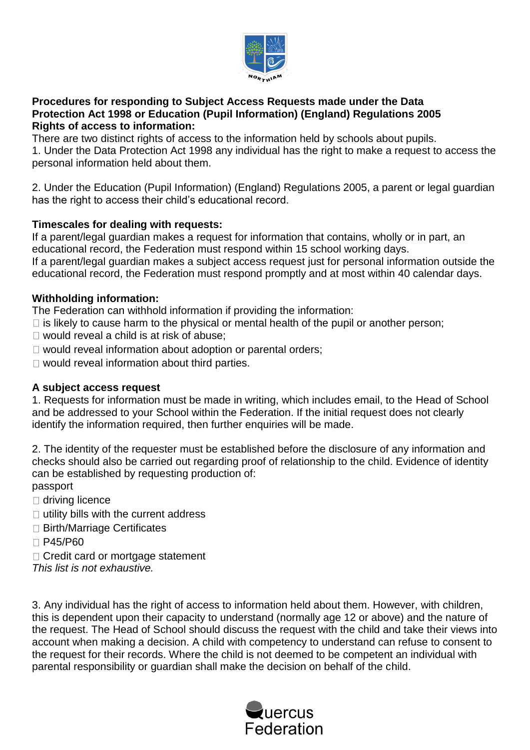

### **Procedures for responding to Subject Access Requests made under the Data Protection Act 1998 or Education (Pupil Information) (England) Regulations 2005 Rights of access to information:**

There are two distinct rights of access to the information held by schools about pupils. 1. Under the Data Protection Act 1998 any individual has the right to make a request to access the personal information held about them.

2. Under the Education (Pupil Information) (England) Regulations 2005, a parent or legal guardian has the right to access their child's educational record.

## **Timescales for dealing with requests:**

If a parent/legal guardian makes a request for information that contains, wholly or in part, an educational record, the Federation must respond within 15 school working days. If a parent/legal guardian makes a subject access request just for personal information outside the

educational record, the Federation must respond promptly and at most within 40 calendar days.

## **Withholding information:**

The Federation can withhold information if providing the information:

- $\Box$  is likely to cause harm to the physical or mental health of the pupil or another person;
- $\Box$  would reveal a child is at risk of abuse;
- □ would reveal information about adoption or parental orders;
- $\Box$  would reveal information about third parties.

## **A subject access request**

1. Requests for information must be made in writing, which includes email, to the Head of School and be addressed to your School within the Federation. If the initial request does not clearly identify the information required, then further enquiries will be made.

2. The identity of the requester must be established before the disclosure of any information and checks should also be carried out regarding proof of relationship to the child. Evidence of identity can be established by requesting production of: passport

□ driving licence

- $\Box$  utility bills with the current address
- □ Birth/Marriage Certificates
- □ P45/P60
- □ Credit card or mortgage statement

*This list is not exhaustive.* 

3. Any individual has the right of access to information held about them. However, with children, this is dependent upon their capacity to understand (normally age 12 or above) and the nature of the request. The Head of School should discuss the request with the child and take their views into account when making a decision. A child with competency to understand can refuse to consent to the request for their records. Where the child is not deemed to be competent an individual with parental responsibility or guardian shall make the decision on behalf of the child.